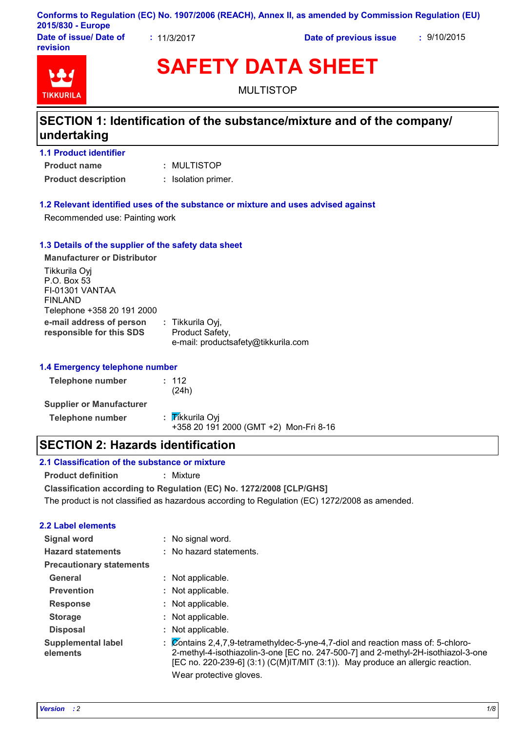#### **Conforms to Regulation (EC) No. 1907/2006 (REACH), Annex II, as amended by Commission Regulation (EU) 2015/830 - Europe**

**Date of issue/ Date of revision**

**:** 11/3/2017 **Date of previous issue :** 9/10/2015



# **SAFETY DATA SHEET**

MULTISTOP

# **SECTION 1: Identification of the substance/mixture and of the company/ undertaking**

| <b>1.1 Product identifier</b> |                     |  |  |  |
|-------------------------------|---------------------|--|--|--|
| <b>Product name</b>           | : MULTISTOP         |  |  |  |
| <b>Product description</b>    | : Isolation primer. |  |  |  |

#### **1.2 Relevant identified uses of the substance or mixture and uses advised against**

Recommended use: Painting work

#### **1.3 Details of the supplier of the safety data sheet**

| <b>Manufacturer or Distributor</b>                                                       |                                                                            |
|------------------------------------------------------------------------------------------|----------------------------------------------------------------------------|
| Tikkurila Oyj<br>P.O. Box 53<br>FI-01301 VANTAA<br>FINLAND<br>Telephone +358 20 191 2000 |                                                                            |
| e-mail address of person<br>responsible for this SDS                                     | : Tikkurila Oyj,<br>Product Safety,<br>e-mail: productsafety@tikkurila.com |

#### **1.4 Emergency telephone number**

| <b>Telephone number</b>         | : 112<br>(24h)                                            |
|---------------------------------|-----------------------------------------------------------|
| <b>Supplier or Manufacturer</b> |                                                           |
| <b>Telephone number</b>         | : Tikkurila Oyi<br>+358 20 191 2000 (GMT +2) Mon-Fri 8-16 |

### **SECTION 2: Hazards identification**

#### **2.1 Classification of the substance or mixture**

**Product definition :** Mixture

**Classification according to Regulation (EC) No. 1272/2008 [CLP/GHS]**

The product is not classified as hazardous according to Regulation (EC) 1272/2008 as amended.

#### **2.2 Label elements**

| <b>Signal word</b>                    | : No signal word.                                                                                                                                                                                                                                                                       |
|---------------------------------------|-----------------------------------------------------------------------------------------------------------------------------------------------------------------------------------------------------------------------------------------------------------------------------------------|
| <b>Hazard statements</b>              | : No hazard statements.                                                                                                                                                                                                                                                                 |
| <b>Precautionary statements</b>       |                                                                                                                                                                                                                                                                                         |
| General                               | : Not applicable.                                                                                                                                                                                                                                                                       |
| <b>Prevention</b>                     | : Not applicable.                                                                                                                                                                                                                                                                       |
| <b>Response</b>                       | : Not applicable.                                                                                                                                                                                                                                                                       |
| <b>Storage</b>                        | : Not applicable.                                                                                                                                                                                                                                                                       |
| <b>Disposal</b>                       | : Not applicable.                                                                                                                                                                                                                                                                       |
| <b>Supplemental label</b><br>elements | : Contains 2,4,7,9-tetramethyldec-5-yne-4,7-diol and reaction mass of: 5-chloro-<br>2-methyl-4-isothiazolin-3-one [EC no. 247-500-7] and 2-methyl-2H-isothiazol-3-one<br>[EC no. 220-239-6] $(3:1)$ (C(M)IT/MIT $(3:1)$ ). May produce an allergic reaction.<br>Wear protective gloves. |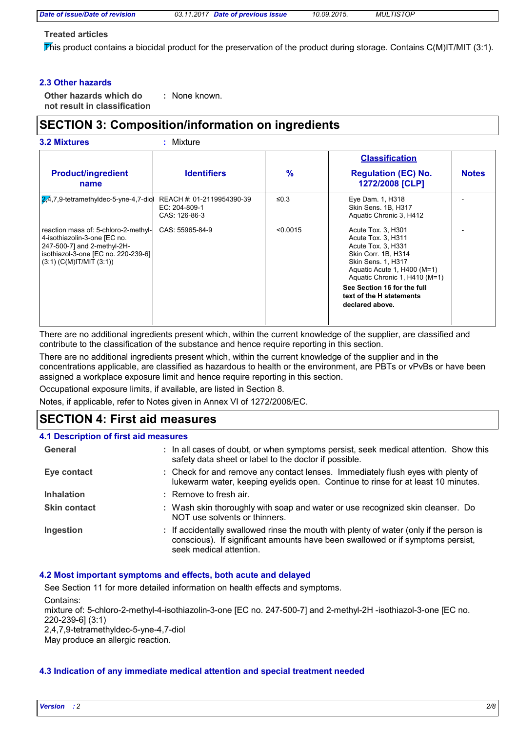#### **Treated articles**

This product contains a biocidal product for the preservation of the product during storage. Contains  $C(M)IT/MIT$  (3:1).

#### **2.3 Other hazards**

**Other hazards which do : not result in classification** : None known.

# **SECTION 3: Composition/information on ingredients**

|                                                                                                                                                                             |                                                             |               | <b>Classification</b>                                                                                                                                                              |              |
|-----------------------------------------------------------------------------------------------------------------------------------------------------------------------------|-------------------------------------------------------------|---------------|------------------------------------------------------------------------------------------------------------------------------------------------------------------------------------|--------------|
| <b>Product/ingredient</b><br>name                                                                                                                                           | <b>Identifiers</b>                                          | $\frac{9}{6}$ | <b>Regulation (EC) No.</b><br>1272/2008 [CLP]                                                                                                                                      | <b>Notes</b> |
| $2,4,7,9$ -tetramethyldec-5-yne-4,7-dio                                                                                                                                     | REACH #: 01-2119954390-39<br>EC: 204-809-1<br>CAS: 126-86-3 | ≤ $0.3$       | Eye Dam. 1, H318<br>Skin Sens. 1B, H317<br>Aquatic Chronic 3, H412                                                                                                                 |              |
| reaction mass of: 5-chloro-2-methyl-<br>4-isothiazolin-3-one [EC no.<br>247-500-7] and 2-methyl-2H-<br>isothiazol-3-one [EC no. 220-239-6]<br>$(3:1)$ (C(M)IT/MIT $(3:1)$ ) | CAS: 55965-84-9                                             | < 0.0015      | Acute Tox. 3, H301<br>Acute Tox. 3, H311<br>Acute Tox. 3, H331<br>Skin Corr. 1B, H314<br><b>Skin Sens. 1, H317</b><br>Aquatic Acute 1, H400 (M=1)<br>Aquatic Chronic 1, H410 (M=1) |              |
|                                                                                                                                                                             |                                                             |               | See Section 16 for the full<br>text of the H statements<br>declared above.                                                                                                         |              |

There are no additional ingredients present which, within the current knowledge of the supplier, are classified and contribute to the classification of the substance and hence require reporting in this section.

There are no additional ingredients present which, within the current knowledge of the supplier and in the concentrations applicable, are classified as hazardous to health or the environment, are PBTs or vPvBs or have been assigned a workplace exposure limit and hence require reporting in this section.

Occupational exposure limits, if available, are listed in Section 8.

Notes, if applicable, refer to Notes given in Annex VI of 1272/2008/EC.

# **SECTION 4: First aid measures**

| 4.1 Description of first aid measures |                                                                                                                                                                                                      |  |  |  |
|---------------------------------------|------------------------------------------------------------------------------------------------------------------------------------------------------------------------------------------------------|--|--|--|
| General                               | : In all cases of doubt, or when symptoms persist, seek medical attention. Show this<br>safety data sheet or label to the doctor if possible.                                                        |  |  |  |
| Eye contact                           | : Check for and remove any contact lenses. Immediately flush eyes with plenty of<br>lukewarm water, keeping eyelids open. Continue to rinse for at least 10 minutes.                                 |  |  |  |
| <b>Inhalation</b>                     | $\pm$ Remove to fresh air.                                                                                                                                                                           |  |  |  |
| <b>Skin contact</b>                   | : Wash skin thoroughly with soap and water or use recognized skin cleanser. Do<br>NOT use solvents or thinners.                                                                                      |  |  |  |
| Ingestion                             | : If accidentally swallowed rinse the mouth with plenty of water (only if the person is<br>conscious). If significant amounts have been swallowed or if symptoms persist,<br>seek medical attention. |  |  |  |

#### **4.2 Most important symptoms and effects, both acute and delayed**

See Section 11 for more detailed information on health effects and symptoms.

Contains:

mixture of: 5-chloro-2-methyl-4-isothiazolin-3-one [EC no. 247-500-7] and 2-methyl-2H -isothiazol-3-one [EC no. 220-239-6] (3:1)

2,4,7,9-tetramethyldec-5-yne-4,7-diol

May produce an allergic reaction.

#### **4.3 Indication of any immediate medical attention and special treatment needed**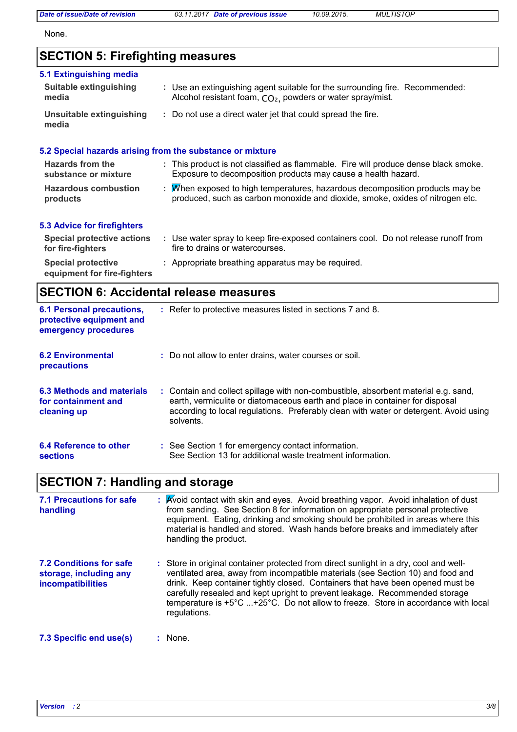*Date of issue/Date of revision 03.11.2017 Date of previous issue 10.09.2015. MULTISTOP*

None.

### **SECTION 5: Firefighting measures**

#### Use water spray to keep fire-exposed containers cool. Do not release runoff from **:** fire to drains or watercourses. **Hazardous combustion products Hazards from the substance or mixture** When exposed to high temperatures, hazardous decomposition products may be **:** produced, such as carbon monoxide and dioxide, smoke, oxides of nitrogen etc. This product is not classified as flammable. Fire will produce dense black smoke. **:** Exposure to decomposition products may cause a health hazard. **Special protective : Appropriate breathing apparatus may be required.** Use an extinguishing agent suitable for the surrounding fire. Recommended: **:** Alcohol resistant foam, CO<sub>2</sub>, powders or water spray/mist. **5.1 Extinguishing media** Do not use a direct water jet that could spread the fire. **: Suitable extinguishing media Unsuitable extinguishing media 5.2 Special hazards arising from the substance or mixture 5.3 Advice for firefighters Special protective actions for fire-fighters**

**equipment for fire-fighters**

### **SECTION 6: Accidental release measures**

| <b>6.1 Personal precautions,</b><br>protective equipment and<br>emergency procedures | : Refer to protective measures listed in sections 7 and 8.                                                                                                                                                                                                               |
|--------------------------------------------------------------------------------------|--------------------------------------------------------------------------------------------------------------------------------------------------------------------------------------------------------------------------------------------------------------------------|
| <b>6.2 Environmental</b><br>precautions                                              | : Do not allow to enter drains, water courses or soil.                                                                                                                                                                                                                   |
| 6.3 Methods and materials<br>for containment and<br>cleaning up                      | : Contain and collect spillage with non-combustible, absorbent material e.g. sand,<br>earth, vermiculite or diatomaceous earth and place in container for disposal<br>according to local regulations. Preferably clean with water or detergent. Avoid using<br>solvents. |
| 6.4 Reference to other<br>sections                                                   | : See Section 1 for emergency contact information.<br>See Section 13 for additional waste treatment information.                                                                                                                                                         |

### **SECTION 7: Handling and storage**

| 7.1 Precautions for safe<br>handling                                                 | : Avoid contact with skin and eyes. Avoid breathing vapor. Avoid inhalation of dust<br>from sanding. See Section 8 for information on appropriate personal protective<br>equipment. Eating, drinking and smoking should be prohibited in areas where this<br>material is handled and stored. Wash hands before breaks and immediately after<br>handling the product.                                                                           |
|--------------------------------------------------------------------------------------|------------------------------------------------------------------------------------------------------------------------------------------------------------------------------------------------------------------------------------------------------------------------------------------------------------------------------------------------------------------------------------------------------------------------------------------------|
| <b>7.2 Conditions for safe</b><br>storage, including any<br><b>incompatibilities</b> | : Store in original container protected from direct sunlight in a dry, cool and well-<br>ventilated area, away from incompatible materials (see Section 10) and food and<br>drink. Keep container tightly closed. Containers that have been opened must be<br>carefully resealed and kept upright to prevent leakage. Recommended storage<br>temperature is +5°C +25°C. Do not allow to freeze. Store in accordance with local<br>regulations. |
| 7.3 Specific end use(s)                                                              | : None.                                                                                                                                                                                                                                                                                                                                                                                                                                        |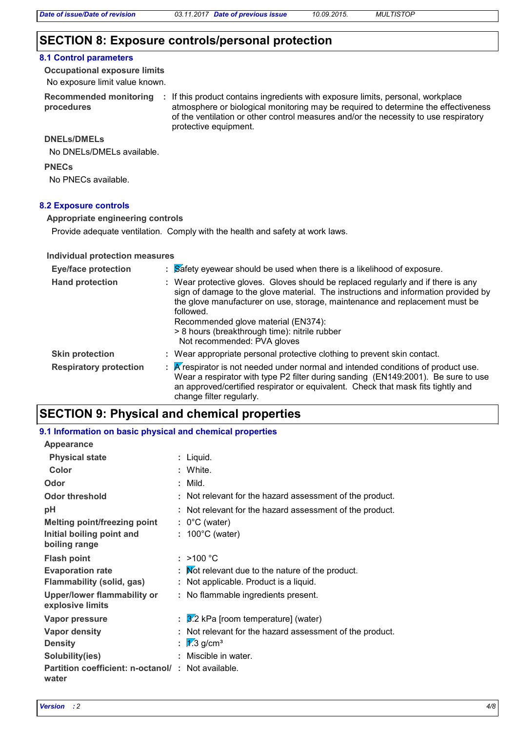# **SECTION 8: Exposure controls/personal protection**

#### **8.1 Control parameters**

No exposure limit value known. **Occupational exposure limits**

**procedures**

Recommended monitoring : If this product contains ingredients with exposure limits, personal, workplace atmosphere or biological monitoring may be required to determine the effectiveness of the ventilation or other control measures and/or the necessity to use respiratory protective equipment.

#### **DNELs/DMELs**

No DNELs/DMELs available.

**PNECs**

No PNECs available.

#### **8.2 Exposure controls**

#### **Appropriate engineering controls**

Provide adequate ventilation. Comply with the health and safety at work laws.

#### **Individual protection measures**

| <b>Eye/face protection</b>    | : Safety eyewear should be used when there is a likelihood of exposure.                                                                                                                                                                                                                                                                                                                    |
|-------------------------------|--------------------------------------------------------------------------------------------------------------------------------------------------------------------------------------------------------------------------------------------------------------------------------------------------------------------------------------------------------------------------------------------|
| <b>Hand protection</b>        | : Wear protective gloves. Gloves should be replaced regularly and if there is any<br>sign of damage to the glove material. The instructions and information provided by<br>the glove manufacturer on use, storage, maintenance and replacement must be<br>followed.<br>Recommended glove material (EN374):<br>> 8 hours (breakthrough time): nitrile rubber<br>Not recommended: PVA gloves |
| <b>Skin protection</b>        | : Wear appropriate personal protective clothing to prevent skin contact.                                                                                                                                                                                                                                                                                                                   |
| <b>Respiratory protection</b> | $\mathbb R$ K respirator is not needed under normal and intended conditions of product use.<br>Wear a respirator with type P2 filter during sanding (EN149:2001). Be sure to use<br>an approved/certified respirator or equivalent. Check that mask fits tightly and<br>change filter regularly.                                                                                           |

# **SECTION 9: Physical and chemical properties**

#### **9.1 Information on basic physical and chemical properties**

| Appearance                                                 |                                                              |
|------------------------------------------------------------|--------------------------------------------------------------|
| <b>Physical state</b>                                      | : Liquid.                                                    |
| Color                                                      | : White.                                                     |
| Odor                                                       | $:$ Mild.                                                    |
| <b>Odor threshold</b>                                      | : Not relevant for the hazard assessment of the product.     |
| рH                                                         | Not relevant for the hazard assessment of the product.       |
| <b>Melting point/freezing point</b>                        | $: 0^{\circ}$ C (water)                                      |
| Initial boiling point and<br>boiling range                 | $: 100^{\circ}$ C (water)                                    |
| <b>Flash point</b>                                         | : $>100 °C$                                                  |
| <b>Evaporation rate</b>                                    | $\mathbf F$ . Mot relevant due to the nature of the product. |
| <b>Flammability (solid, gas)</b>                           | : Not applicable. Product is a liquid.                       |
| <b>Upper/lower flammability or</b><br>explosive limits     | : No flammable ingredients present.                          |
| <b>Vapor pressure</b>                                      | $\frac{3}{2}$ kPa [room temperature] (water)                 |
| <b>Vapor density</b>                                       | Not relevant for the hazard assessment of the product.       |
| <b>Density</b>                                             | : $\sqrt{2.3}$ g/cm <sup>3</sup>                             |
| Solubility(ies)                                            | Miscible in water.                                           |
| Partition coefficient: n-octanol/: Not available.<br>water |                                                              |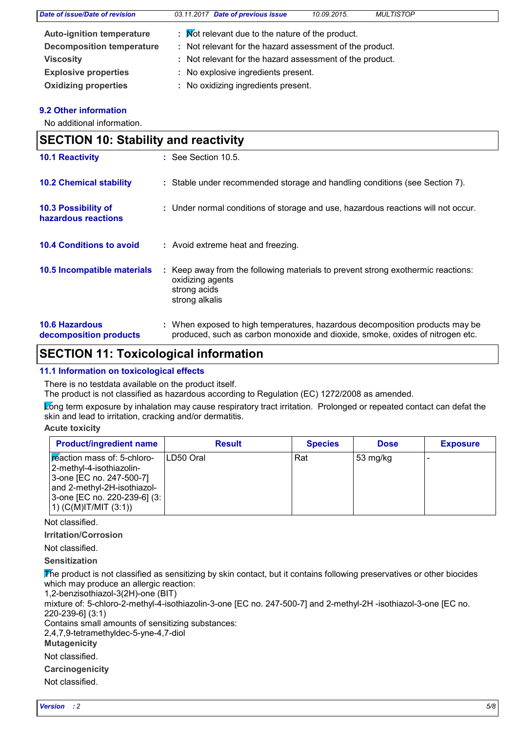| <b>Date of issue/Date of revision</b> | 03.11.2017 Date of previous issue                        | 10.09.2015. | <b>MULTISTOP</b> |  |
|---------------------------------------|----------------------------------------------------------|-------------|------------------|--|
| <b>Auto-ignition temperature</b>      | : Mot relevant due to the nature of the product.         |             |                  |  |
| <b>Decomposition temperature</b>      | : Not relevant for the hazard assessment of the product. |             |                  |  |
| <b>Viscosity</b>                      | : Not relevant for the hazard assessment of the product. |             |                  |  |
| <b>Explosive properties</b>           | : No explosive ingredients present.                      |             |                  |  |
| <b>Oxidizing properties</b>           | : No oxidizing ingredients present.                      |             |                  |  |

#### **9.2 Other information**

No additional information.

| <b>SECTION 10: Stability and reactivity</b>     |  |                                                                                                                                                               |  |
|-------------------------------------------------|--|---------------------------------------------------------------------------------------------------------------------------------------------------------------|--|
| <b>10.1 Reactivity</b>                          |  | $\therefore$ See Section 10.5.                                                                                                                                |  |
| <b>10.2 Chemical stability</b>                  |  | : Stable under recommended storage and handling conditions (see Section 7).                                                                                   |  |
| 10.3 Possibility of<br>hazardous reactions      |  | : Under normal conditions of storage and use, hazardous reactions will not occur.                                                                             |  |
| <b>10.4 Conditions to avoid</b>                 |  | : Avoid extreme heat and freezing.                                                                                                                            |  |
| 10.5 Incompatible materials                     |  | : Keep away from the following materials to prevent strong exothermic reactions:<br>oxidizing agents<br>strong acids<br>strong alkalis                        |  |
| <b>10.6 Hazardous</b><br>decomposition products |  | : When exposed to high temperatures, hazardous decomposition products may be<br>produced, such as carbon monoxide and dioxide, smoke, oxides of nitrogen etc. |  |

# **SECTION 11: Toxicological information**

#### **11.1 Information on toxicological effects**

There is no testdata available on the product itself.

The product is not classified as hazardous according to Regulation (EC) 1272/2008 as amended.

Long term exposure by inhalation may cause respiratory tract irritation. Prolonged or repeated contact can defat the skin and lead to irritation, cracking and/or dermatitis.

**Acute toxicity**

| <b>Product/ingredient name</b>                                                                                                                                                     | <b>Result</b> | <b>Species</b> | <b>Dose</b> | <b>Exposure</b> |
|------------------------------------------------------------------------------------------------------------------------------------------------------------------------------------|---------------|----------------|-------------|-----------------|
| reaction mass of: 5-chloro-<br> 2-methyl-4-isothiazolin-<br>3-one [EC no. 247-500-7]<br>and 2-methyl-2H-isothiazol-<br> 3-one [EC no. 220-239-6] (3:  <br>$(1)$ (C(M)IT/MIT (3:1)) | ILD50 Oral    | Rat            | 53 mg/kg    |                 |

Not classified.

**Irritation/Corrosion**

Not classified.

**Sensitization**

The product is not classified as sensitizing by skin contact, but it contains following preservatives or other biocides which may produce an allergic reaction:

1,2-benzisothiazol-3(2H)-one (BIT)

mixture of: 5-chloro-2-methyl-4-isothiazolin-3-one [EC no. 247-500-7] and 2-methyl-2H -isothiazol-3-one [EC no. 220-239-6] (3:1)

Contains small amounts of sensitizing substances:

2,4,7,9-tetramethyldec-5-yne-4,7-diol

**Mutagenicity**

Not classified.

**Carcinogenicity**

Not classified.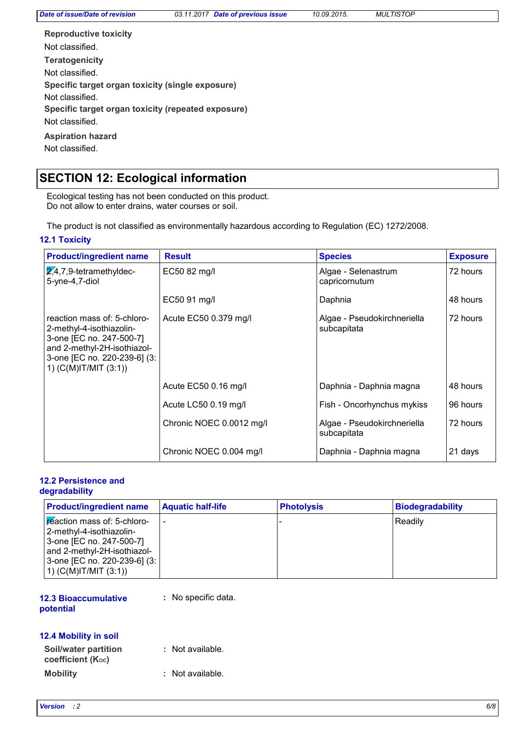| <b>Reproductive toxicity</b>                       |
|----------------------------------------------------|
| Not classified.                                    |
| <b>Teratogenicity</b>                              |
| Not classified.                                    |
| Specific target organ toxicity (single exposure)   |
| Not classified.                                    |
| Specific target organ toxicity (repeated exposure) |
| Not classified.                                    |
| <b>Aspiration hazard</b>                           |
| Not classified.                                    |

# **SECTION 12: Ecological information**

Ecological testing has not been conducted on this product. Do not allow to enter drains, water courses or soil.

The product is not classified as environmentally hazardous according to Regulation (EC) 1272/2008.

#### **12.1 Toxicity**

| <b>Product/ingredient name</b>                                                                                                                                                | <b>Result</b>            | <b>Species</b>                             | <b>Exposure</b> |
|-------------------------------------------------------------------------------------------------------------------------------------------------------------------------------|--------------------------|--------------------------------------------|-----------------|
| $2,4,7,9$ -tetramethyldec-<br>5-yne-4,7-diol                                                                                                                                  | EC50 82 mg/l             | Algae - Selenastrum<br>capricornutum       | 72 hours        |
|                                                                                                                                                                               | EC50 91 mg/l             | Daphnia                                    | 48 hours        |
| reaction mass of: 5-chloro-<br>2-methyl-4-isothiazolin-<br>3-one [EC no. 247-500-7]<br>and 2-methyl-2H-isothiazol-<br>3-one [EC no. 220-239-6] (3:<br>1) $(C(M)IT/MIT (3:1))$ | Acute EC50 0.379 mg/l    | Algae - Pseudokirchneriella<br>subcapitata | 72 hours        |
|                                                                                                                                                                               | Acute EC50 0.16 mg/l     | Daphnia - Daphnia magna                    | 48 hours        |
|                                                                                                                                                                               | Acute LC50 0.19 mg/l     | Fish - Oncorhynchus mykiss                 | 96 hours        |
|                                                                                                                                                                               | Chronic NOEC 0.0012 mg/l | Algae - Pseudokirchneriella<br>subcapitata | 72 hours        |
|                                                                                                                                                                               | Chronic NOEC 0.004 mg/l  | Daphnia - Daphnia magna                    | 21 days         |

#### **12.2 Persistence and degradability**

| <b>Product/ingredient name</b>                                 | <b>Aquatic half-life</b> | <b>Photolysis</b> | <b>Biodegradability</b> |
|----------------------------------------------------------------|--------------------------|-------------------|-------------------------|
| <b>Exercise Mass of: 5-chloro-</b><br>2-methyl-4-isothiazolin- | $\overline{\phantom{0}}$ |                   | Readilv                 |
| 3-one [EC no. 247-500-7]<br>and 2-methyl-2H-isothiazol-        |                          |                   |                         |
| 3-one [EC no. 220-239-6] (3:  <br>1) $(C(M)$ IT/MIT $(3:1)$    |                          |                   |                         |

#### **12.3 Bioaccumulative potential**

**:** No specific data.

### **12.4 Mobility in soil**

| Soil/water partition<br>coefficient (Koc) | : Not available. |
|-------------------------------------------|------------------|
| <b>Mobility</b>                           | : Not available. |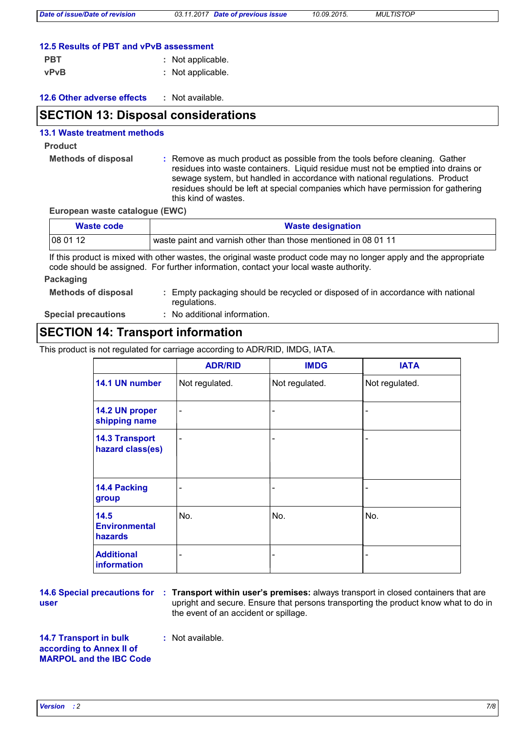| 12.5 Results of PBT and vPvB assessment |  |
|-----------------------------------------|--|
|-----------------------------------------|--|

| <b>PBT</b> | : Not applicable. |
|------------|-------------------|
| vPvB       | : Not applicable. |

| <b>12.6 Other adverse effects</b> | Not available. |
|-----------------------------------|----------------|
|-----------------------------------|----------------|

### **SECTION 13: Disposal considerations**

#### **13.1 Waste treatment methods**

#### **Product**

**Methods of disposal :**

Remove as much product as possible from the tools before cleaning. Gather residues into waste containers. Liquid residue must not be emptied into drains or sewage system, but handled in accordance with national regulations. Product residues should be left at special companies which have permission for gathering this kind of wastes.

**European waste catalogue (EWC)**

| Waste code | <b>Waste designation</b>                                       |  |
|------------|----------------------------------------------------------------|--|
| 08 01 12   | waste paint and varnish other than those mentioned in 08 01 11 |  |

If this product is mixed with other wastes, the original waste product code may no longer apply and the appropriate code should be assigned. For further information, contact your local waste authority.

# **Packaging**

- **Methods of disposal :**
- Empty packaging should be recycled or disposed of in accordance with national regulations.

**Special precautions :**

No additional information.

### **SECTION 14: Transport information**

This product is not regulated for carriage according to ADR/RID, IMDG, IATA.

|                                           | <b>ADR/RID</b>           | <b>IMDG</b>                  | <b>IATA</b>    |
|-------------------------------------------|--------------------------|------------------------------|----------------|
| 14.1 UN number                            | Not regulated.           | Not regulated.               | Not regulated. |
| 14.2 UN proper<br>shipping name           | $\overline{\phantom{a}}$ | -                            |                |
| <b>14.3 Transport</b><br>hazard class(es) | $\overline{\phantom{a}}$ | $\qquad \qquad \blacksquare$ |                |
| 14.4 Packing<br>group                     |                          | $\overline{\phantom{a}}$     |                |
| 14.5<br><b>Environmental</b><br>hazards   | No.                      | No.                          | No.            |
| <b>Additional</b><br>information          |                          | $\overline{\phantom{a}}$     |                |

**user**

**14.6 Special precautions for : Transport within user's premises: always transport in closed containers that are** upright and secure. Ensure that persons transporting the product know what to do in the event of an accident or spillage.

**14.7 Transport in bulk according to Annex II of MARPOL and the IBC Code :** Not available.